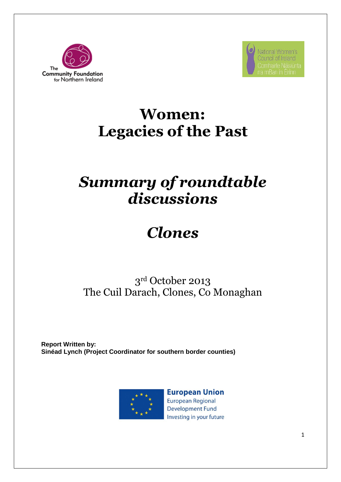



### **Women: Legacies of the Past**

## *Summary of roundtable discussions*

# *Clones*

### 3 rd October 2013 The Cuil Darach, Clones, Co Monaghan

**Report Written by: Sinéad Lynch (Project Coordinator for southern border counties)**



**European Union European Regional Development Fund** Investing in your future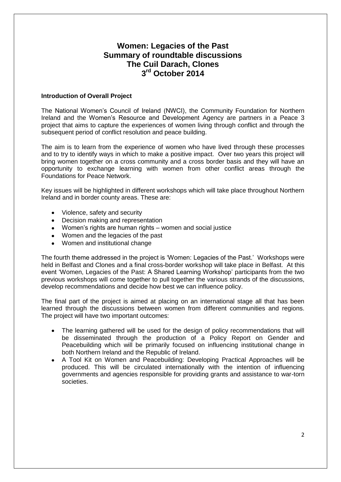### **Women: Legacies of the Past Summary of roundtable discussions The Cuil Darach, Clones 3 rd October 2014**

#### **Introduction of Overall Project**

The National Women's Council of Ireland (NWCI), the Community Foundation for Northern Ireland and the Women's Resource and Development Agency are partners in a Peace 3 project that aims to capture the experiences of women living through conflict and through the subsequent period of conflict resolution and peace building.

The aim is to learn from the experience of women who have lived through these processes and to try to identify ways in which to make a positive impact. Over two years this project will bring women together on a cross community and a cross border basis and they will have an opportunity to exchange learning with women from other conflict areas through the Foundations for Peace Network.

Key issues will be highlighted in different workshops which will take place throughout Northern Ireland and in border county areas. These are:

- Violence, safety and security
- Decision making and representation
- Women's rights are human rights women and social justice
- Women and the legacies of the past
- Women and institutional change

The fourth theme addressed in the project is 'Women: Legacies of the Past.' Workshops were held in Belfast and Clones and a final cross-border workshop will take place in Belfast. At this event 'Women, Legacies of the Past: A Shared Learning Workshop' participants from the two previous workshops will come together to pull together the various strands of the discussions, develop recommendations and decide how best we can influence policy.

The final part of the project is aimed at placing on an international stage all that has been learned through the discussions between women from different communities and regions. The project will have two important outcomes:

- The learning gathered will be used for the design of policy recommendations that will  $\bullet$ be disseminated through the production of a Policy Report on Gender and Peacebuilding which will be primarily focused on influencing institutional change in both Northern Ireland and the Republic of Ireland.
- A Tool Kit on Women and Peacebuilding: Developing Practical Approaches will be produced. This will be circulated internationally with the intention of influencing governments and agencies responsible for providing grants and assistance to war-torn societies.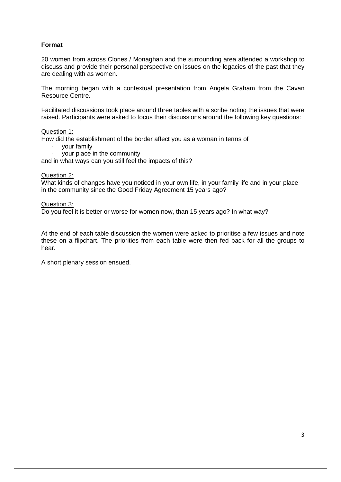#### **Format**

20 women from across Clones / Monaghan and the surrounding area attended a workshop to discuss and provide their personal perspective on issues on the legacies of the past that they are dealing with as women.

The morning began with a contextual presentation from Angela Graham from the Cavan Resource Centre.

Facilitated discussions took place around three tables with a scribe noting the issues that were raised. Participants were asked to focus their discussions around the following key questions:

#### Question 1:

How did the establishment of the border affect you as a woman in terms of

- your family
- your place in the community

and in what ways can you still feel the impacts of this?

#### Question 2:

What kinds of changes have you noticed in your own life, in your family life and in your place in the community since the Good Friday Agreement 15 years ago?

Question 3:

Do you feel it is better or worse for women now, than 15 years ago? In what way?

At the end of each table discussion the women were asked to prioritise a few issues and note these on a flipchart. The priorities from each table were then fed back for all the groups to hear.

A short plenary session ensued.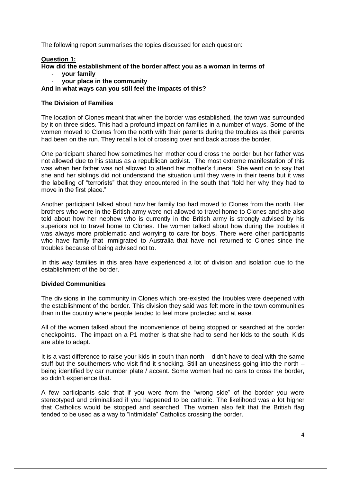The following report summarises the topics discussed for each question:

#### **Question 1:**

**How did the establishment of the border affect you as a woman in terms of** 

- **your family**
- **your place in the community**

**And in what ways can you still feel the impacts of this?**

#### **The Division of Families**

The location of Clones meant that when the border was established, the town was surrounded by it on three sides. This had a profound impact on families in a number of ways. Some of the women moved to Clones from the north with their parents during the troubles as their parents had been on the run. They recall a lot of crossing over and back across the border.

One participant shared how sometimes her mother could cross the border but her father was not allowed due to his status as a republican activist. The most extreme manifestation of this was when her father was not allowed to attend her mother's funeral. She went on to say that she and her siblings did not understand the situation until they were in their teens but it was the labelling of "terrorists" that they encountered in the south that "told her why they had to move in the first place."

Another participant talked about how her family too had moved to Clones from the north. Her brothers who were in the British army were not allowed to travel home to Clones and she also told about how her nephew who is currently in the British army is strongly advised by his superiors not to travel home to Clones. The women talked about how during the troubles it was always more problematic and worrying to care for boys. There were other participants who have family that immigrated to Australia that have not returned to Clones since the troubles because of being advised not to.

In this way families in this area have experienced a lot of division and isolation due to the establishment of the border.

#### **Divided Communities**

The divisions in the community in Clones which pre-existed the troubles were deepened with the establishment of the border. This division they said was felt more in the town communities than in the country where people tended to feel more protected and at ease.

All of the women talked about the inconvenience of being stopped or searched at the border checkpoints. The impact on a P1 mother is that she had to send her kids to the south. Kids are able to adapt.

It is a vast difference to raise your kids in south than north – didn't have to deal with the same stuff but the southerners who visit find it shocking. Still an uneasiness going into the north – being identified by car number plate / accent. Some women had no cars to cross the border, so didn't experience that.

A few participants said that if you were from the "wrong side" of the border you were stereotyped and criminalised if you happened to be catholic. The likelihood was a lot higher that Catholics would be stopped and searched. The women also felt that the British flag tended to be used as a way to "intimidate" Catholics crossing the border.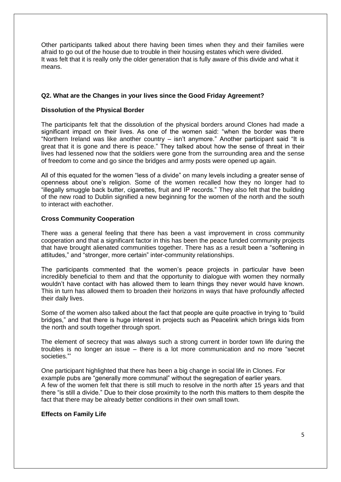Other participants talked about there having been times when they and their families were afraid to go out of the house due to trouble in their housing estates which were divided. It was felt that it is really only the older generation that is fully aware of this divide and what it means.

#### **Q2. What are the Changes in your lives since the Good Friday Agreement?**

#### **Dissolution of the Physical Border**

The participants felt that the dissolution of the physical borders around Clones had made a significant impact on their lives. As one of the women said: "when the border was there "Northern Ireland was like another country – isn't anymore." Another participant said "It is great that it is gone and there is peace." They talked about how the sense of threat in their lives had lessened now that the soldiers were gone from the surrounding area and the sense of freedom to come and go since the bridges and army posts were opened up again.

All of this equated for the women "less of a divide" on many levels including a greater sense of openness about one's religion. Some of the women recalled how they no longer had to "illegally smuggle back butter, cigarettes, fruit and IP records." They also felt that the building of the new road to Dublin signified a new beginning for the women of the north and the south to interact with eachother.

#### **Cross Community Cooperation**

There was a general feeling that there has been a vast improvement in cross community cooperation and that a significant factor in this has been the peace funded community projects that have brought alienated communities together. There has as a result been a "softening in attitudes," and "stronger, more certain" inter-community relationships.

The participants commented that the women's peace projects in particular have been incredibly beneficial to them and that the opportunity to dialogue with women they normally wouldn't have contact with has allowed them to learn things they never would have known. This in turn has allowed them to broaden their horizons in ways that have profoundly affected their daily lives.

Some of the women also talked about the fact that people are quite proactive in trying to "build bridges," and that there is huge interest in projects such as Peacelink which brings kids from the north and south together through sport.

The element of secrecy that was always such a strong current in border town life during the troubles is no longer an issue – there is a lot more communication and no more "secret societies."'

One participant highlighted that there has been a big change in social life in Clones. For example pubs are "generally more communal" without the segregation of earlier years. A few of the women felt that there is still much to resolve in the north after 15 years and that there "is still a divide." Due to their close proximity to the north this matters to them despite the fact that there may be already better conditions in their own small town.

#### **Effects on Family Life**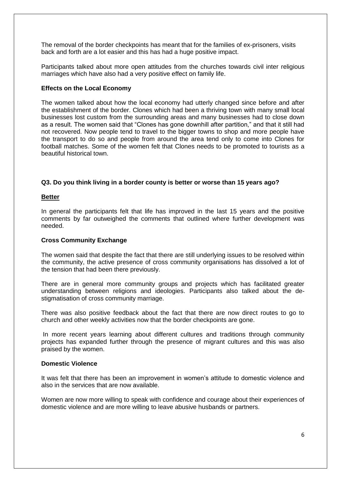The removal of the border checkpoints has meant that for the families of ex-prisoners, visits back and forth are a lot easier and this has had a huge positive impact.

Participants talked about more open attitudes from the churches towards civil inter religious marriages which have also had a very positive effect on family life.

#### **Effects on the Local Economy**

The women talked about how the local economy had utterly changed since before and after the establishment of the border. Clones which had been a thriving town with many small local businesses lost custom from the surrounding areas and many businesses had to close down as a result. The women said that "Clones has gone downhill after partition," and that it still had not recovered. Now people tend to travel to the bigger towns to shop and more people have the transport to do so and people from around the area tend only to come into Clones for football matches. Some of the women felt that Clones needs to be promoted to tourists as a beautiful historical town.

#### **Q3. Do you think living in a border county is better or worse than 15 years ago?**

#### **Better**

In general the participants felt that life has improved in the last 15 years and the positive comments by far outweighed the comments that outlined where further development was needed.

#### **Cross Community Exchange**

The women said that despite the fact that there are still underlying issues to be resolved within the community, the active presence of cross community organisations has dissolved a lot of the tension that had been there previously.

There are in general more community groups and projects which has facilitated greater understanding between religions and ideologies. Participants also talked about the destigmatisation of cross community marriage.

There was also positive feedback about the fact that there are now direct routes to go to church and other weekly activities now that the border checkpoints are gone.

In more recent years learning about different cultures and traditions through community projects has expanded further through the presence of migrant cultures and this was also praised by the women.

#### **Domestic Violence**

It was felt that there has been an improvement in women's attitude to domestic violence and also in the services that are now available.

Women are now more willing to speak with confidence and courage about their experiences of domestic violence and are more willing to leave abusive husbands or partners.